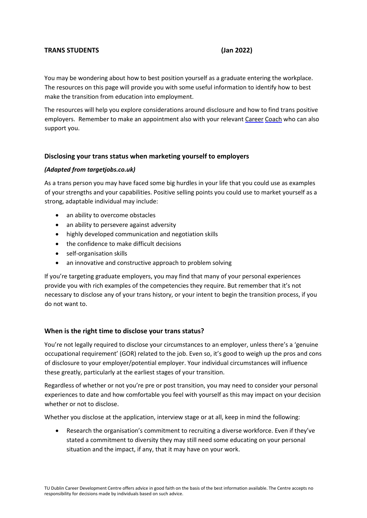# **TRANS STUDENTS (Jan 2022)**

You may be wondering about how to best position yourself as a graduate entering the workplace. The resources on this page will provide you with some useful information to identify how to best make the transition from education into employment.

The resources will help you explore considerations around disclosure and how to find trans positive employers. Remember to make an appointment also with your relevan[t Career](https://www.tudublin.ie/for-students/career-development-centre/contact-us/) [Coach](https://www.tudublin.ie/for-students/career-development-centre/contact-us/) who can also support you.

### **Disclosing your trans status when marketing yourself to employers**

### *(Adapted from targetjobs.co.uk)*

As a trans person you may have faced some big hurdles in your life that you could use as examples of your strengths and your capabilities. Positive selling points you could use to market yourself as a strong, adaptable individual may include:

- an ability to overcome obstacles
- an ability to persevere against adversity
- highly developed communication and negotiation skills
- the confidence to make difficult decisions
- self-organisation skills
- an innovative and constructive approach to problem solving

If you're targeting graduate employers, you may find that many of your personal experiences provide you with rich examples of the competencies they require. But remember that it's not necessary to disclose any of your trans history, or your intent to begin the transition process, if you do not want to.

### **When is the right time to disclose your trans status?**

You're not legally required to disclose your circumstances to an employer, unless there's a 'genuine occupational requirement' (GOR) related to the job. Even so, it's good to weigh up the pros and cons of disclosure to your employer/potential employer. Your individual circumstances will influence these greatly, particularly at the earliest stages of your transition.

Regardless of whether or not you're pre or post transition, you may need to consider your personal experiences to date and how comfortable you feel with yourself as this may impact on your decision whether or not to disclose.

Whether you disclose at the application, interview stage or at all, keep in mind the following:

• Research the organisation's commitment to recruiting a diverse workforce. Even if they've stated a commitment to diversity they may still need some educating on your personal situation and the impact, if any, that it may have on your work.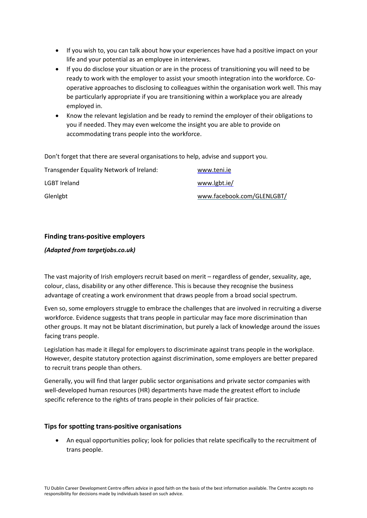- If you wish to, you can talk about how your experiences have had a positive impact on your life and your potential as an employee in interviews.
- If you do disclose your situation or are in the process of transitioning you will need to be ready to work with the employer to assist your smooth integration into the workforce. Cooperative approaches to disclosing to colleagues within the organisation work well. This may be particularly appropriate if you are transitioning within a workplace you are already employed in.
- Know the relevant legislation and be ready to remind the employer of their obligations to you if needed. They may even welcome the insight you are able to provide on accommodating trans people into the workforce.

Don't forget that there are several organisations to help, advise and support you.

| Transgender Equality Network of Ireland: | www.teni.ie                |
|------------------------------------------|----------------------------|
| LGBT Ireland                             | www.lgbt.ie/               |
| Glenlgbt                                 | www.facebook.com/GLENLGBT/ |

# **Finding trans-positive employers**

### *(Adapted from targetjobs.co.uk)*

The vast majority of Irish employers recruit based on merit – regardless of gender, sexuality, age, colour, class, disability or any other difference. This is because they recognise the business advantage of creating a work environment that draws people from a broad social spectrum.

Even so, some employers struggle to embrace the challenges that are involved in recruiting a diverse workforce. Evidence suggests that trans people in particular may face more discrimination than other groups. It may not be blatant discrimination, but purely a lack of knowledge around the issues facing trans people.

Legislation has made it illegal for employers to discriminate against trans people in the workplace. However, despite statutory protection against discrimination, some employers are better prepared to recruit trans people than others.

Generally, you will find that larger public sector organisations and private sector companies with well-developed human resources (HR) departments have made the greatest effort to include specific reference to the rights of trans people in their policies of fair practice.

### **Tips for spotting trans-positive organisations**

• An equal opportunities policy; look for policies that relate specifically to the recruitment of trans people.